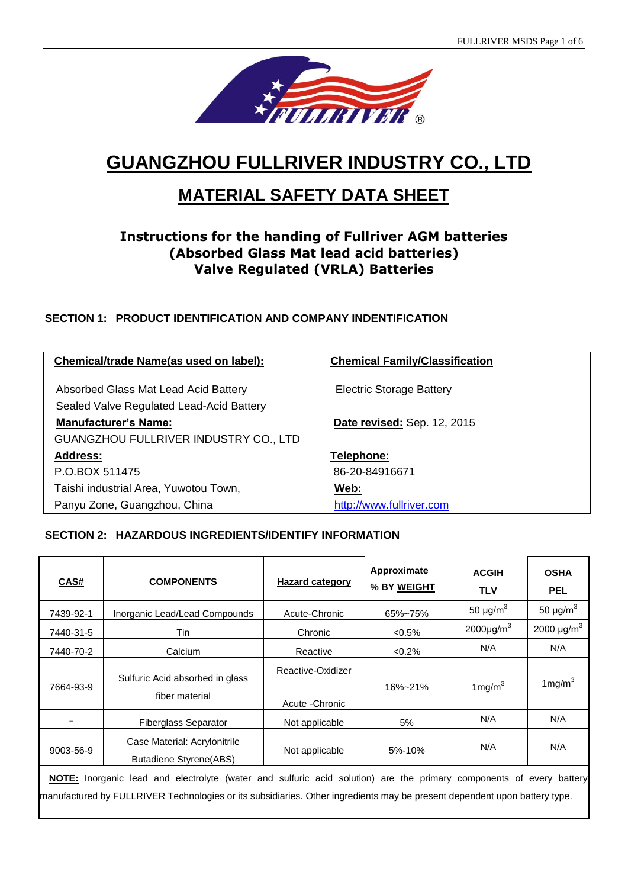

# **GUANGZHOU FULLRIVER INDUSTRY CO., LTD**

# **MATERIAL SAFETY DATA SHEET**

# **Instructions for the handing of Fullriver AGM batteries (Absorbed Glass Mat lead acid batteries) Valve Regulated (VRLA) Batteries**

# **SECTION 1: PRODUCT IDENTIFICATION AND COMPANY INDENTIFICATION**

| Chemical/trade Name(as used on label):       | <b>Chemical Family/Classification</b> |  |
|----------------------------------------------|---------------------------------------|--|
|                                              |                                       |  |
| Absorbed Glass Mat Lead Acid Battery         | <b>Electric Storage Battery</b>       |  |
| Sealed Valve Regulated Lead-Acid Battery     |                                       |  |
| <b>Manufacturer's Name:</b>                  | <b>Date revised: Sep. 12, 2015</b>    |  |
| <b>GUANGZHOU FULLRIVER INDUSTRY CO., LTD</b> |                                       |  |
| <b>Address:</b>                              | Telephone:                            |  |
| P.O.BOX 511475                               | 86-20-84916671                        |  |
| Taishi industrial Area, Yuwotou Town,        | Web:                                  |  |
| Panyu Zone, Guangzhou, China                 | http://www.fullriver.com              |  |

### **SECTION 2: HAZARDOUS INGREDIENTS/IDENTIFY INFORMATION**

| CAS#                                                                                                                                                                                                                                             | <b>COMPONENTS</b>                                             | <b>Hazard category</b>               | Approximate<br>% BY WEIGHT | <b>ACGIH</b><br><u>TLV</u> | <b>OSHA</b><br><b>PEL</b>   |
|--------------------------------------------------------------------------------------------------------------------------------------------------------------------------------------------------------------------------------------------------|---------------------------------------------------------------|--------------------------------------|----------------------------|----------------------------|-----------------------------|
| 7439-92-1                                                                                                                                                                                                                                        | Inorganic Lead/Lead Compounds                                 | Acute-Chronic                        | 65%~75%                    | 50 $\mu$ g/m <sup>3</sup>  | 50 $\mu$ g/m <sup>3</sup>   |
| 7440-31-5                                                                                                                                                                                                                                        | Tin                                                           | Chronic                              | $< 0.5\%$                  | $2000 \mu g/m^3$           | 2000 $\mu$ g/m <sup>3</sup> |
| 7440-70-2                                                                                                                                                                                                                                        | Calcium                                                       | Reactive                             | < 0.2%                     | N/A                        | N/A                         |
| 7664-93-9                                                                                                                                                                                                                                        | Sulfuric Acid absorbed in glass<br>fiber material             | Reactive-Oxidizer<br>Acute - Chronic | 16%~21%                    | 1 $mg/m3$                  | 1 $mg/m3$                   |
|                                                                                                                                                                                                                                                  | <b>Fiberglass Separator</b>                                   | Not applicable                       | 5%                         | N/A                        | N/A                         |
| 9003-56-9                                                                                                                                                                                                                                        | Case Material: Acrylonitrile<br><b>Butadiene Styrene(ABS)</b> | Not applicable                       | 5%-10%                     | N/A                        | N/A                         |
| NOTE: Inorganic lead and electrolyte (water and sulfuric acid solution) are the primary components of every battery<br>manufactured by FULLRIVER Technologies or its subsidiaries. Other ingredients may be present dependent upon battery type. |                                                               |                                      |                            |                            |                             |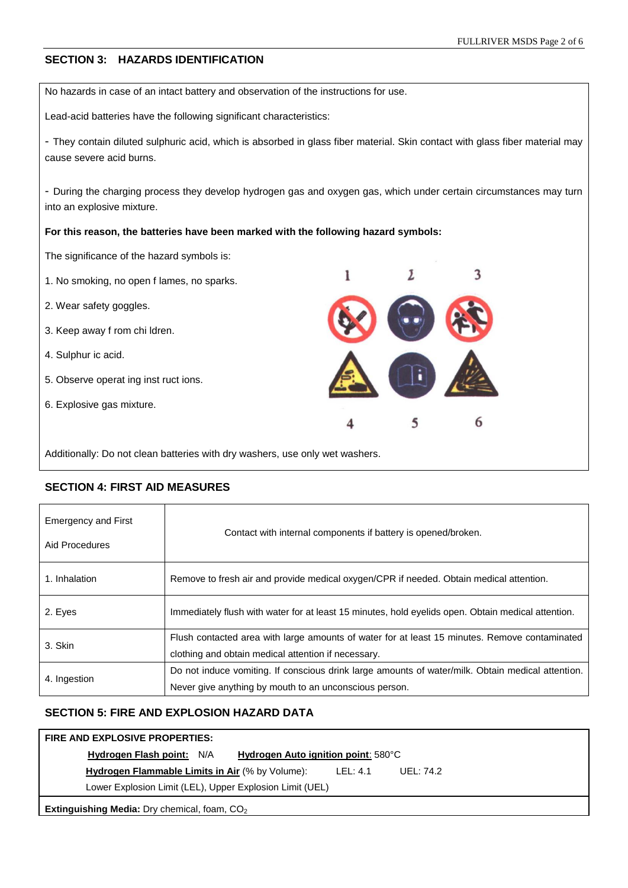### **SECTION 3: HAZARDS IDENTIFICATION**

No hazards in case of an intact battery and observation of the instructions for use.

Lead-acid batteries have the following significant characteristics:

- They contain diluted sulphuric acid, which is absorbed in glass fiber material. Skin contact with glass fiber material may cause severe acid burns.

- During the charging process they develop hydrogen gas and oxygen gas, which under certain circumstances may turn into an explosive mixture.

#### **For this reason, the batteries have been marked with the following hazard symbols:**

The significance of the hazard symbols is:

1. No smoking, no open f lames, no sparks.

2. Wear safety goggles.

- 3. Keep away f rom chi ldren.
- 4. Sulphur ic acid.
- 5. Observe operat ing inst ruct ions.
- 6. Explosive gas mixture.



Additionally: Do not clean batteries with dry washers, use only wet washers.

# Emergency and First Aid Procedures Contact with internal components if battery is opened/broken. 1. Inhalation Remove to fresh air and provide medical oxygen/CPR if needed. Obtain medical attention. 2. Eyes **IMMEDIATELY** Immediately flush with water for at least 15 minutes, hold eyelids open. Obtain medical attention. 3. Skin Flush contacted area with large amounts of water for at least 15 minutes. Remove contaminated clothing and obtain medical attention if necessary. 4. Ingestion Do not induce vomiting. If conscious drink large amounts of water/milk. Obtain medical attention. Never give anything by mouth to an unconscious person.

#### **SECTION 4: FIRST AID MEASURES**

## **SECTION 5: FIRE AND EXPLOSION HAZARD DATA**

# **FIRE AND EXPLOSIVE PROPERTIES: Hydrogen Flash point:** N/A **Hydrogen Auto ignition point**: 580°C **Hydrogen Flammable Limits in Air** (% by Volume): LEL: 4.1 UEL: 74.2 Lower Explosion Limit (LEL), Upper Explosion Limit (UEL) **Extinguishing Media:** Dry chemical, foam, CO<sub>2</sub>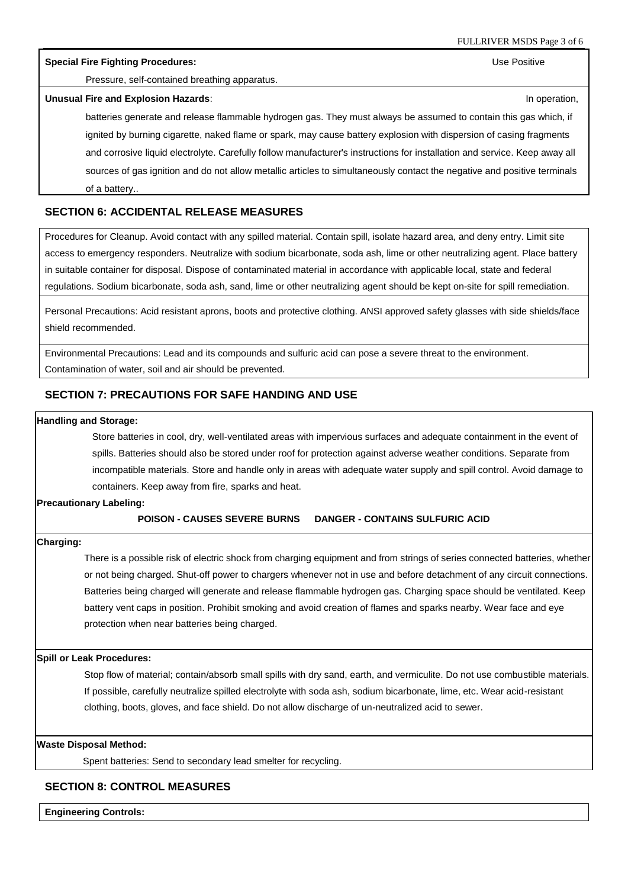**Special Fire Fighting Procedures:** Use Positive

Pressure, self-contained breathing apparatus.

#### **Unusual Fire and Explosion Hazards:** In the state of the state of the state of the state of the state of the state of the state of the state of the state of the state of the state of the state of the state of the state of

batteries generate and release flammable hydrogen gas. They must always be assumed to contain this gas which, if ignited by burning cigarette, naked flame or spark, may cause battery explosion with dispersion of casing fragments and corrosive liquid electrolyte. Carefully follow manufacturer's instructions for installation and service. Keep away all sources of gas ignition and do not allow metallic articles to simultaneously contact the negative and positive terminals of a battery..

#### **SECTION 6: ACCIDENTAL RELEASE MEASURES**

Procedures for Cleanup. Avoid contact with any spilled material. Contain spill, isolate hazard area, and deny entry. Limit site access to emergency responders. Neutralize with sodium bicarbonate, soda ash, lime or other neutralizing agent. Place battery in suitable container for disposal. Dispose of contaminated material in accordance with applicable local, state and federal regulations. Sodium bicarbonate, soda ash, sand, lime or other neutralizing agent should be kept on-site for spill remediation.

Personal Precautions: Acid resistant aprons, boots and protective clothing. ANSI approved safety glasses with side shields/face shield recommended.

Environmental Precautions: Lead and its compounds and sulfuric acid can pose a severe threat to the environment. Contamination of water, soil and air should be prevented.

#### **SECTION 7: PRECAUTIONS FOR SAFE HANDING AND USE**

#### **Handling and Storage:**

Store batteries in cool, dry, well-ventilated areas with impervious surfaces and adequate containment in the event of spills. Batteries should also be stored under roof for protection against adverse weather conditions. Separate from incompatible materials. Store and handle only in areas with adequate water supply and spill control. Avoid damage to containers. Keep away from fire, sparks and heat.

#### **Precautionary Labeling:**

#### **POISON - CAUSES SEVERE BURNS DANGER - CONTAINS SULFURIC ACID**

#### **Charging:**

There is a possible risk of electric shock from charging equipment and from strings of series connected batteries, whether or not being charged. Shut-off power to chargers whenever not in use and before detachment of any circuit connections. Batteries being charged will generate and release flammable hydrogen gas. Charging space should be ventilated. Keep battery vent caps in position. Prohibit smoking and avoid creation of flames and sparks nearby. Wear face and eye protection when near batteries being charged.

#### **Spill or Leak Procedures:**

Stop flow of material; contain/absorb small spills with dry sand, earth, and vermiculite. Do not use combustible materials. If possible, carefully neutralize spilled electrolyte with soda ash, sodium bicarbonate, lime, etc. Wear acid-resistant clothing, boots, gloves, and face shield. Do not allow discharge of un-neutralized acid to sewer.

#### **Waste Disposal Method:**

Spent batteries: Send to secondary lead smelter for recycling.

#### **SECTION 8: CONTROL MEASURES**

**Engineering Controls:**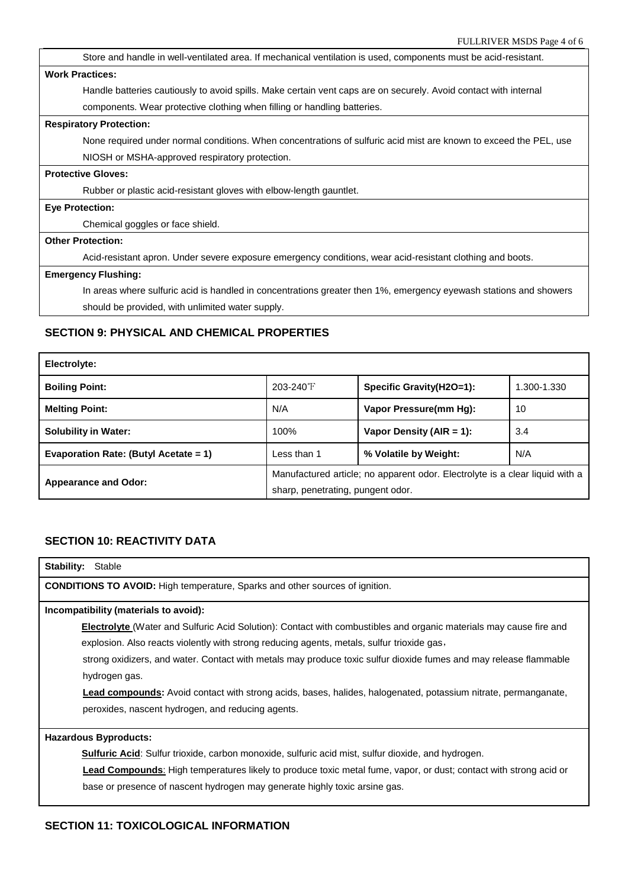| $\Gamma$ OLLINI V LIN IVISIDS 1 age $\pm$ 01 0                                                                    |  |
|-------------------------------------------------------------------------------------------------------------------|--|
| Store and handle in well-ventilated area. If mechanical ventilation is used, components must be acid-resistant.   |  |
| <b>Work Practices:</b>                                                                                            |  |
| Handle batteries cautiously to avoid spills. Make certain vent caps are on securely. Avoid contact with internal  |  |
| components. Wear protective clothing when filling or handling batteries.                                          |  |
| <b>Respiratory Protection:</b>                                                                                    |  |
| None required under normal conditions. When concentrations of sulfuric acid mist are known to exceed the PEL, use |  |
| NIOSH or MSHA-approved respiratory protection.                                                                    |  |
| <b>Protective Gloves:</b>                                                                                         |  |
| Rubber or plastic acid-resistant gloves with elbow-length gauntlet.                                               |  |
| <b>Eye Protection:</b>                                                                                            |  |
| Chemical goggles or face shield.                                                                                  |  |
| <b>Other Protection:</b>                                                                                          |  |
| Acid-resistant apron. Under severe exposure emergency conditions, wear acid-resistant clothing and boots.         |  |
| <b>Emergency Flushing:</b>                                                                                        |  |
| In areas where sulfuric acid is handled in concentrations greater then 1%, emergency eyewash stations and showers |  |
| should be provided, with unlimited water supply.                                                                  |  |

# **SECTION 9: PHYSICAL AND CHEMICAL PROPERTIES**

| Electrolyte:                          |                                                                              |                          |     |  |
|---------------------------------------|------------------------------------------------------------------------------|--------------------------|-----|--|
| <b>Boiling Point:</b>                 | 203-240°F<br>Specific Gravity(H2O=1):<br>1.300-1.330                         |                          |     |  |
| <b>Melting Point:</b>                 | N/A<br>Vapor Pressure(mm Hg):<br>10                                          |                          |     |  |
| <b>Solubility in Water:</b>           | 100%                                                                         | Vapor Density (AIR = 1): | 3.4 |  |
| Evaporation Rate: (Butyl Acetate = 1) | Less than 1                                                                  | % Volatile by Weight:    | N/A |  |
|                                       | Manufactured article; no apparent odor. Electrolyte is a clear liquid with a |                          |     |  |
| <b>Appearance and Odor:</b>           | sharp, penetrating, pungent odor.                                            |                          |     |  |

# **SECTION 10: REACTIVITY DATA**

| <b>Stability: Stable</b>                                                                                                  |                                                                                                                                                                                                                               |  |
|---------------------------------------------------------------------------------------------------------------------------|-------------------------------------------------------------------------------------------------------------------------------------------------------------------------------------------------------------------------------|--|
| <b>CONDITIONS TO AVOID:</b> High temperature, Sparks and other sources of ignition.                                       |                                                                                                                                                                                                                               |  |
|                                                                                                                           | Incompatibility (materials to avoid):                                                                                                                                                                                         |  |
| <b>Electrolyte</b> (Water and Sulfuric Acid Solution): Contact with combustibles and organic materials may cause fire and |                                                                                                                                                                                                                               |  |
|                                                                                                                           | explosion. Also reacts violently with strong reducing agents, metals, sulfur trioxide gas,                                                                                                                                    |  |
|                                                                                                                           | . The contract of the contract of the contract of the contract of the contract of the contract of the contract of the contract of the contract of the contract of the contract of the contract of the contract of the contrac |  |

strong oxidizers, and water. Contact with metals may produce toxic sulfur dioxide fumes and may release flammable hydrogen gas.

**Lead compounds:** Avoid contact with strong acids, bases, halides, halogenated, potassium nitrate, permanganate, peroxides, nascent hydrogen, and reducing agents.

# **Hazardous Byproducts:**

**Sulfuric Acid:** Sulfur trioxide, carbon monoxide, sulfuric acid mist, sulfur dioxide, and hydrogen.

**Lead Compounds**: High temperatures likely to produce toxic metal fume, vapor, or dust; contact with strong acid or base or presence of nascent hydrogen may generate highly toxic arsine gas.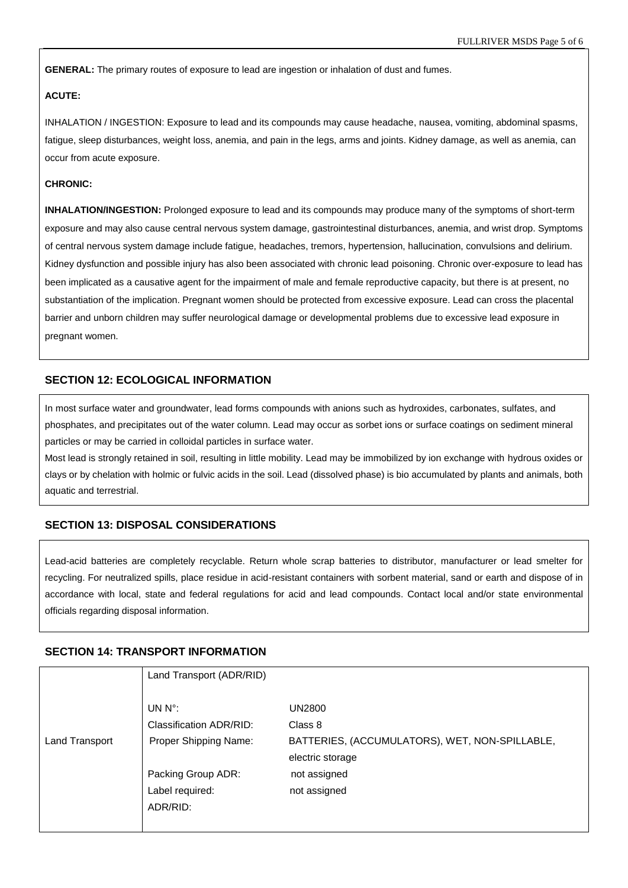**GENERAL:** The primary routes of exposure to lead are ingestion or inhalation of dust and fumes.

#### **ACUTE:**

INHALATION / INGESTION: Exposure to lead and its compounds may cause headache, nausea, vomiting, abdominal spasms, fatigue, sleep disturbances, weight loss, anemia, and pain in the legs, arms and joints. Kidney damage, as well as anemia, can occur from acute exposure.

#### **CHRONIC:**

**INHALATION/INGESTION:** Prolonged exposure to lead and its compounds may produce many of the symptoms of short-term exposure and may also cause central nervous system damage, gastrointestinal disturbances, anemia, and wrist drop. Symptoms of central nervous system damage include fatigue, headaches, tremors, hypertension, hallucination, convulsions and delirium. Kidney dysfunction and possible injury has also been associated with chronic lead poisoning. Chronic over-exposure to lead has been implicated as a causative agent for the impairment of male and female reproductive capacity, but there is at present, no substantiation of the implication. Pregnant women should be protected from excessive exposure. Lead can cross the placental barrier and unborn children may suffer neurological damage or developmental problems due to excessive lead exposure in pregnant women.

### **SECTION 12: ECOLOGICAL INFORMATION**

In most surface water and groundwater, lead forms compounds with anions such as hydroxides, carbonates, sulfates, and phosphates, and precipitates out of the water column. Lead may occur as sorbet ions or surface coatings on sediment mineral particles or may be carried in colloidal particles in surface water.

Most lead is strongly retained in soil, resulting in little mobility. Lead may be immobilized by ion exchange with hydrous oxides or clays or by chelation with holmic or fulvic acids in the soil. Lead (dissolved phase) is bio accumulated by plants and animals, both aquatic and terrestrial.

#### **SECTION 13: DISPOSAL CONSIDERATIONS**

Lead-acid batteries are completely recyclable. Return whole scrap batteries to distributor, manufacturer or lead smelter for recycling. For neutralized spills, place residue in acid-resistant containers with sorbent material, sand or earth and dispose of in accordance with local, state and federal regulations for acid and lead compounds. Contact local and/or state environmental officials regarding disposal information.

#### **SECTION 14: TRANSPORT INFORMATION**

|                | Land Transport (ADR/RID) |                                                |
|----------------|--------------------------|------------------------------------------------|
|                |                          |                                                |
|                | UN $N^{\circ}$ :         | <b>UN2800</b>                                  |
|                | Classification ADR/RID:  | Class 8                                        |
| Land Transport | Proper Shipping Name:    | BATTERIES, (ACCUMULATORS), WET, NON-SPILLABLE, |
|                |                          | electric storage                               |
|                | Packing Group ADR:       | not assigned                                   |
|                | Label required:          | not assigned                                   |
|                | ADR/RID:                 |                                                |
|                |                          |                                                |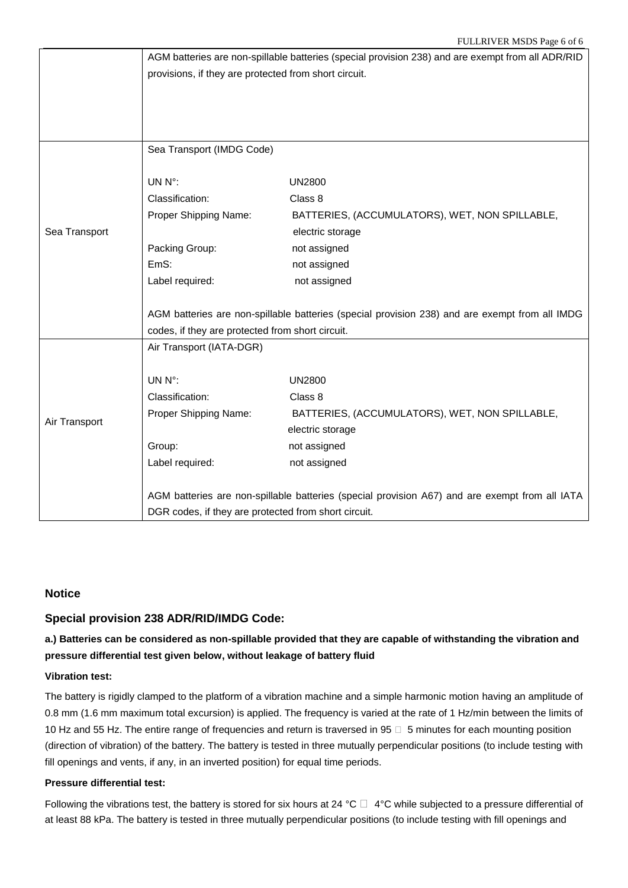|               | AGM batteries are non-spillable batteries (special provision 238) and are exempt from all ADR/RID |                                                                                                |  |  |
|---------------|---------------------------------------------------------------------------------------------------|------------------------------------------------------------------------------------------------|--|--|
|               | provisions, if they are protected from short circuit.                                             |                                                                                                |  |  |
|               |                                                                                                   |                                                                                                |  |  |
|               |                                                                                                   |                                                                                                |  |  |
|               |                                                                                                   |                                                                                                |  |  |
|               | Sea Transport (IMDG Code)                                                                         |                                                                                                |  |  |
|               |                                                                                                   |                                                                                                |  |  |
|               | UN N°:                                                                                            | <b>UN2800</b>                                                                                  |  |  |
|               | Classification:                                                                                   | Class 8                                                                                        |  |  |
|               | Proper Shipping Name:                                                                             | BATTERIES, (ACCUMULATORS), WET, NON SPILLABLE,                                                 |  |  |
| Sea Transport |                                                                                                   | electric storage                                                                               |  |  |
|               | Packing Group:                                                                                    | not assigned                                                                                   |  |  |
|               | EmS:                                                                                              | not assigned                                                                                   |  |  |
|               | Label required:                                                                                   | not assigned                                                                                   |  |  |
|               |                                                                                                   |                                                                                                |  |  |
|               |                                                                                                   | AGM batteries are non-spillable batteries (special provision 238) and are exempt from all IMDG |  |  |
|               | codes, if they are protected from short circuit.                                                  |                                                                                                |  |  |
|               | Air Transport (IATA-DGR)                                                                          |                                                                                                |  |  |
|               |                                                                                                   |                                                                                                |  |  |
|               | UN N°:                                                                                            | <b>UN2800</b>                                                                                  |  |  |
|               | Classification:                                                                                   | Class 8                                                                                        |  |  |
| Air Transport | Proper Shipping Name:                                                                             | BATTERIES, (ACCUMULATORS), WET, NON SPILLABLE,                                                 |  |  |
|               |                                                                                                   | electric storage                                                                               |  |  |
|               | Group:                                                                                            | not assigned                                                                                   |  |  |
|               | Label required:                                                                                   | not assigned                                                                                   |  |  |
|               |                                                                                                   |                                                                                                |  |  |
|               | AGM batteries are non-spillable batteries (special provision A67) and are exempt from all IATA    |                                                                                                |  |  |
|               | DGR codes, if they are protected from short circuit.                                              |                                                                                                |  |  |

#### **Notice**

#### **Special provision 238 ADR/RID/IMDG Code:**

## **a.) Batteries can be considered as non-spillable provided that they are capable of withstanding the vibration and pressure differential test given below, without leakage of battery fluid**

#### **Vibration test:**

The battery is rigidly clamped to the platform of a vibration machine and a simple harmonic motion having an amplitude of 0.8 mm (1.6 mm maximum total excursion) is applied. The frequency is varied at the rate of 1 Hz/min between the limits of 10 Hz and 55 Hz. The entire range of frequencies and return is traversed in 95  $\Box$  5 minutes for each mounting position (direction of vibration) of the battery. The battery is tested in three mutually perpendicular positions (to include testing with fill openings and vents, if any, in an inverted position) for equal time periods.

#### **Pressure differential test:**

Following the vibrations test, the battery is stored for six hours at 24 °C  $\Box$  4°C while subjected to a pressure differential of at least 88 kPa. The battery is tested in three mutually perpendicular positions (to include testing with fill openings and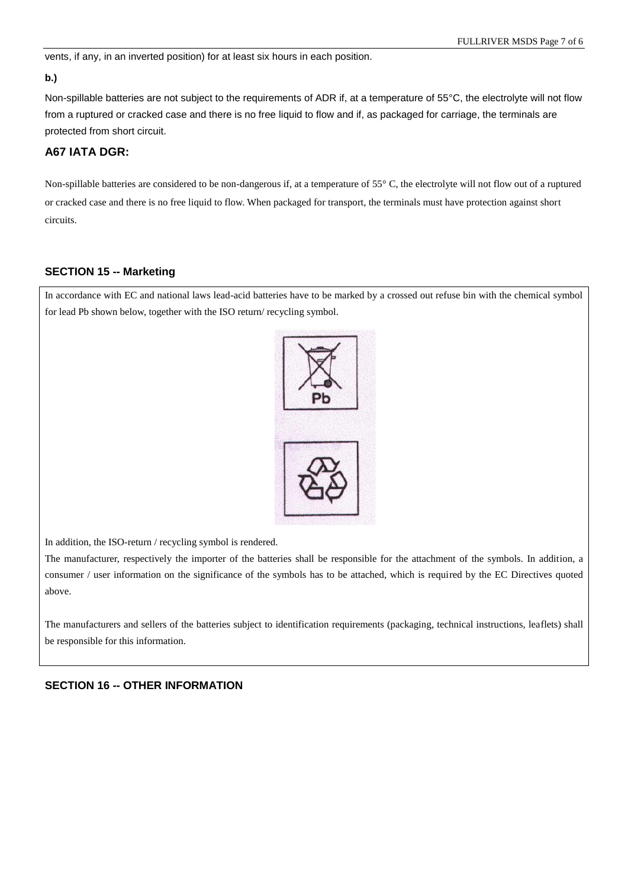vents, if any, in an inverted position) for at least six hours in each position.

#### **b.)**

Non-spillable batteries are not subject to the requirements of ADR if, at a temperature of 55°C, the electrolyte will not flow from a ruptured or cracked case and there is no free liquid to flow and if, as packaged for carriage, the terminals are protected from short circuit.

## **A67 IATA DGR:**

Non-spillable batteries are considered to be non-dangerous if, at a temperature of 55 °C, the electrolyte will not flow out of a ruptured or cracked case and there is no free liquid to flow. When packaged for transport, the terminals must have protection against short circuits.

### **SECTION 15 -- Marketing**

In accordance with EC and national laws lead-acid batteries have to be marked by a crossed out refuse bin with the chemical symbol for lead Pb shown below, together with the ISO return/ recycling symbol.



In addition, the ISO-return / recycling symbol is rendered.

The manufacturer, respectively the importer of the batteries shall be responsible for the attachment of the symbols. In addition, a consumer / user information on the significance of the symbols has to be attached, which is required by the EC Directives quoted above.

The manufacturers and sellers of the batteries subject to identification requirements (packaging, technical instructions, leaflets) shall be responsible for this information.

### **SECTION 16 -- OTHER INFORMATION**